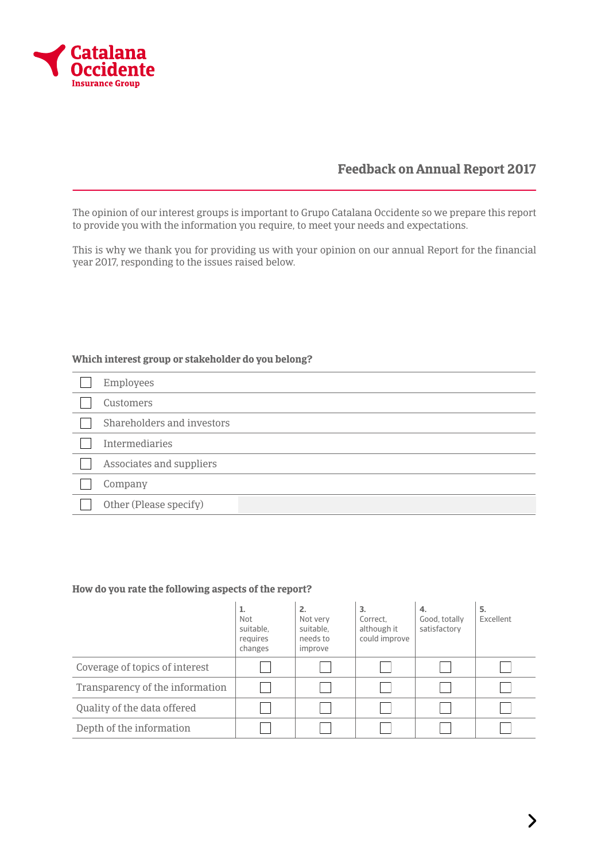

# **Feedback on Annual Report 2017**

The opinion of our interest groups is important to Grupo Catalana Occidente so we prepare this report to provide you with the information you require, to meet your needs and expectations.

This is why we thank you for providing us with your opinion on our annual Report for the financial year 2017, responding to the issues raised below.

#### **Which interest group or stakeholder do you belong?**

| Employees                  |
|----------------------------|
| Customers                  |
| Shareholders and investors |
| <b>Intermediaries</b>      |
| Associates and suppliers   |
| Company                    |
| Other (Please specify)     |

#### **How do you rate the following aspects of the report?**

|                                 | ı.<br><b>Not</b><br>suitable.<br>reguires<br>changes | 2.<br>Not very<br>suitable.<br>needs to<br>improve | 3.<br>Correct.<br>although it<br>could improve | 4.<br>Good, totally<br>satisfactory | 5.<br>Excellent |
|---------------------------------|------------------------------------------------------|----------------------------------------------------|------------------------------------------------|-------------------------------------|-----------------|
| Coverage of topics of interest  |                                                      |                                                    |                                                |                                     |                 |
| Transparency of the information |                                                      |                                                    |                                                |                                     |                 |
| Quality of the data offered     |                                                      |                                                    |                                                |                                     |                 |
| Depth of the information        |                                                      |                                                    |                                                |                                     |                 |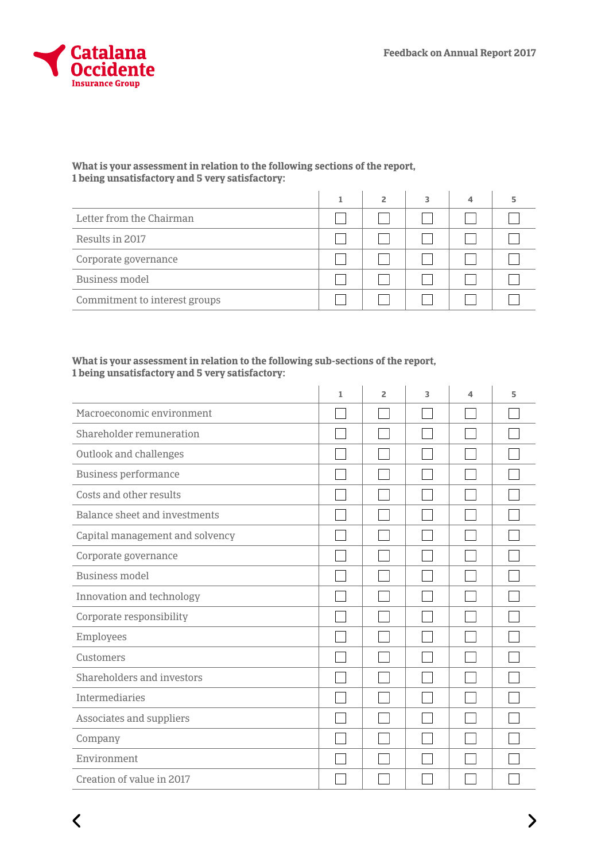

 $\langle$ 

## **What is your assessment in relation to the following sections of the report, 1 being unsatisfactory and 5 very satisfactory:**

|                               | $\overline{\phantom{a}}$ |  |  |
|-------------------------------|--------------------------|--|--|
| Letter from the Chairman      |                          |  |  |
| Results in 2017               |                          |  |  |
| Corporate governance          |                          |  |  |
| <b>Business model</b>         |                          |  |  |
| Commitment to interest groups |                          |  |  |

## **What is your assessment in relation to the following sub-sections of the report, 1 being unsatisfactory and 5 very satisfactory:**

|                                 | 1 | 2 | 3 | $\overline{\mathcal{A}}$ | 5 |
|---------------------------------|---|---|---|--------------------------|---|
| Macroeconomic environment       |   |   |   |                          |   |
| Shareholder remuneration        |   |   |   |                          |   |
| Outlook and challenges          |   |   |   |                          |   |
| Business performance            |   |   |   |                          |   |
| Costs and other results         |   |   |   |                          |   |
| Balance sheet and investments   |   |   |   |                          |   |
| Capital management and solvency |   |   |   |                          |   |
| Corporate governance            |   |   |   |                          |   |
| <b>Business model</b>           |   |   |   |                          |   |
| Innovation and technology       |   |   |   |                          |   |
| Corporate responsibility        |   |   |   |                          |   |
| Employees                       |   |   |   |                          |   |
| Customers                       |   |   |   |                          |   |
| Shareholders and investors      |   |   |   |                          |   |
| Intermediaries                  |   |   |   |                          |   |
| Associates and suppliers        |   |   |   |                          |   |
| Company                         |   |   |   |                          |   |
| Environment                     |   |   |   |                          |   |
| Creation of value in 2017       |   |   |   |                          |   |